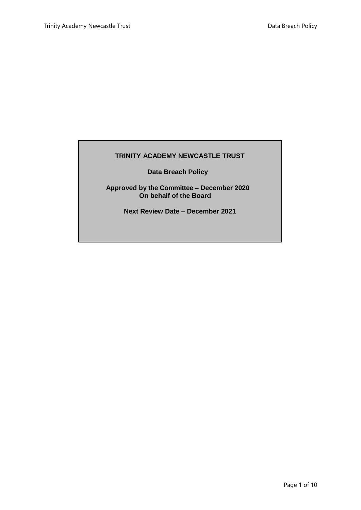## **TRINITY ACADEMY NEWCASTLE TRUST**

**Data Breach Policy**

**Approved by the Committee – December 2020 On behalf of the Board**

**Next Review Date – December 2021**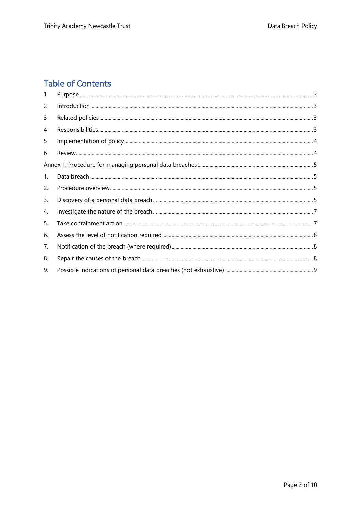# **Table of Contents**

| 1              |  |
|----------------|--|
| 2              |  |
| 3              |  |
| 4              |  |
| 5              |  |
| 6              |  |
|                |  |
| $\mathbf{1}$ . |  |
| 2.             |  |
| 3.             |  |
| 4.             |  |
| 5.             |  |
| 6.             |  |
| 7.             |  |
| 8.             |  |
| 9.             |  |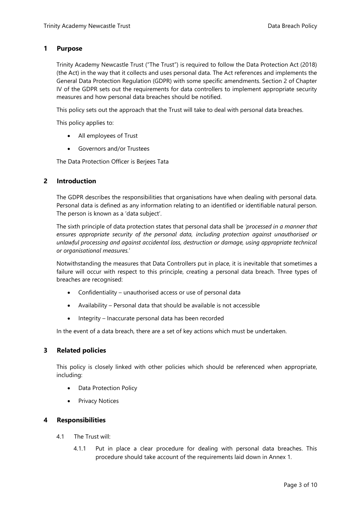#### <span id="page-2-0"></span>**1 Purpose**

Trinity Academy Newcastle Trust ("The Trust") is required to follow the Data Protection Act (2018) (the Act) in the way that it collects and uses personal data. The Act references and implements the General Data Protection Regulation (GDPR) with some specific amendments. Section 2 of Chapter IV of the GDPR sets out the requirements for data controllers to implement appropriate security measures and how personal data breaches should be notified.

This policy sets out the approach that the Trust will take to deal with personal data breaches.

This policy applies to:

- All employees of Trust
- Governors and/or Trustees

The Data Protection Officer is Berjees Tata

#### <span id="page-2-1"></span>**2 Introduction**

The GDPR describes the responsibilities that organisations have when dealing with personal data. Personal data is defined as any information relating to an identified or identifiable natural person. The person is known as a 'data subject'.

The sixth principle of data protection states that personal data shall be *'processed in a manner that ensures appropriate security of the personal data, including protection against unauthorised or unlawful processing and against accidental loss, destruction or damage, using appropriate technical or organisational measures.*'

Notwithstanding the measures that Data Controllers put in place, it is inevitable that sometimes a failure will occur with respect to this principle, creating a personal data breach. Three types of breaches are recognised:

- Confidentiality unauthorised access or use of personal data
- Availability Personal data that should be available is not accessible
- Integrity Inaccurate personal data has been recorded

In the event of a data breach, there are a set of key actions which must be undertaken.

#### <span id="page-2-2"></span>**3 Related policies**

This policy is closely linked with other policies which should be referenced when appropriate, including:

- Data Protection Policy
- Privacy Notices

#### <span id="page-2-3"></span>**4 Responsibilities**

- 4.1 The Trust will:
	- 4.1.1 Put in place a clear procedure for dealing with personal data breaches. This procedure should take account of the requirements laid down in Annex 1.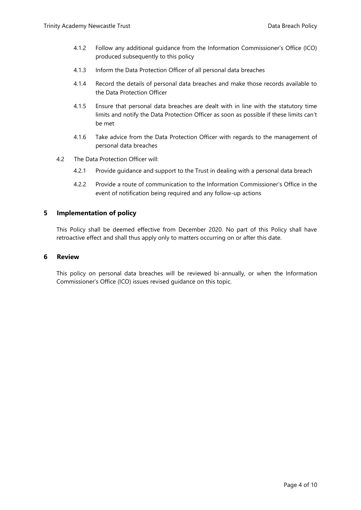- 4.1.2 Follow any additional guidance from the Information Commissioner's Office (ICO) produced subsequently to this policy
- 4.1.3 Inform the Data Protection Officer of all personal data breaches
- 4.1.4 Record the details of personal data breaches and make those records available to the Data Protection Officer
- 4.1.5 Ensure that personal data breaches are dealt with in line with the statutory time limits and notify the Data Protection Officer as soon as possible if these limits can't be met
- 4.1.6 Take advice from the Data Protection Officer with regards to the management of personal data breaches
- 4.2 The Data Protection Officer will:
	- 4.2.1 Provide guidance and support to the Trust in dealing with a personal data breach
	- 4.2.2 Provide a route of communication to the Information Commissioner's Office in the event of notification being required and any follow-up actions

#### <span id="page-3-0"></span>**5 Implementation of policy**

This Policy shall be deemed effective from December 2020. No part of this Policy shall have retroactive effect and shall thus apply only to matters occurring on or after this date.

#### <span id="page-3-1"></span>**6 Review**

This policy on personal data breaches will be reviewed bi-annually, or when the Information Commissioner's Office (ICO) issues revised guidance on this topic.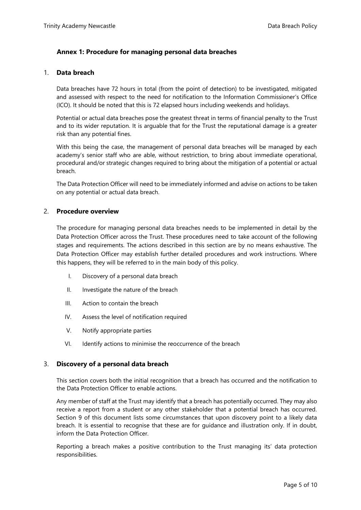## <span id="page-4-0"></span>**Annex 1: Procedure for managing personal data breaches**

#### <span id="page-4-1"></span>1. **Data breach**

Data breaches have 72 hours in total (from the point of detection) to be investigated, mitigated and assessed with respect to the need for notification to the Information Commissioner's Office (ICO). It should be noted that this is 72 elapsed hours including weekends and holidays.

Potential or actual data breaches pose the greatest threat in terms of financial penalty to the Trust and to its wider reputation. It is arguable that for the Trust the reputational damage is a greater risk than any potential fines.

With this being the case, the management of personal data breaches will be managed by each academy's senior staff who are able, without restriction, to bring about immediate operational, procedural and/or strategic changes required to bring about the mitigation of a potential or actual breach.

The Data Protection Officer will need to be immediately informed and advise on actions to be taken on any potential or actual data breach.

#### <span id="page-4-2"></span>2. **Procedure overview**

The procedure for managing personal data breaches needs to be implemented in detail by the Data Protection Officer across the Trust. These procedures need to take account of the following stages and requirements. The actions described in this section are by no means exhaustive. The Data Protection Officer may establish further detailed procedures and work instructions. Where this happens, they will be referred to in the main body of this policy.

- I. Discovery of a personal data breach
- II. Investigate the nature of the breach
- III. Action to contain the breach
- IV. Assess the level of notification required
- V. Notify appropriate parties
- VI. Identify actions to minimise the reoccurrence of the breach

#### <span id="page-4-3"></span>3. **Discovery of a personal data breach**

This section covers both the initial recognition that a breach has occurred and the notification to the Data Protection Officer to enable actions.

Any member of staff at the Trust may identify that a breach has potentially occurred. They may also receive a report from a student or any other stakeholder that a potential breach has occurred. Section 9 of this document lists some circumstances that upon discovery point to a likely data breach. It is essential to recognise that these are for guidance and illustration only. If in doubt, inform the Data Protection Officer.

Reporting a breach makes a positive contribution to the Trust managing its' data protection responsibilities.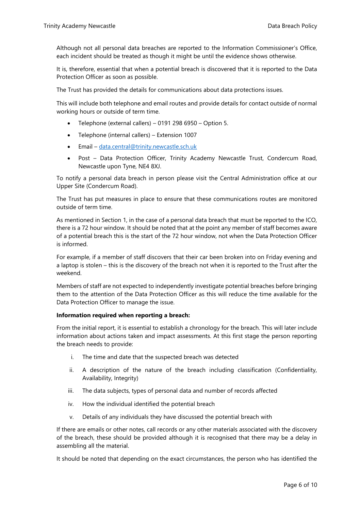Although not all personal data breaches are reported to the Information Commissioner's Office, each incident should be treated as though it might be until the evidence shows otherwise.

It is, therefore, essential that when a potential breach is discovered that it is reported to the Data Protection Officer as soon as possible.

The Trust has provided the details for communications about data protections issues.

This will include both telephone and email routes and provide details for contact outside of normal working hours or outside of term time.

- Telephone (external callers) 0191 298 6950 Option 5.
- Telephone (internal callers) Extension 1007
- Email [data.central@trinity.newcastle.sch.uk](mailto:data.central@trinity.newcastle.sch.uk)
- Post Data Protection Officer, Trinity Academy Newcastle Trust, Condercum Road, Newcastle upon Tyne, NE4 8XJ.

To notify a personal data breach in person please visit the Central Administration office at our Upper Site (Condercum Road).

The Trust has put measures in place to ensure that these communications routes are monitored outside of term time.

As mentioned in Section 1, in the case of a personal data breach that must be reported to the ICO, there is a 72 hour window. It should be noted that at the point any member of staff becomes aware of a potential breach this is the start of the 72 hour window, not when the Data Protection Officer is informed.

For example, if a member of staff discovers that their car been broken into on Friday evening and a laptop is stolen – this is the discovery of the breach not when it is reported to the Trust after the weekend.

Members of staff are not expected to independently investigate potential breaches before bringing them to the attention of the Data Protection Officer as this will reduce the time available for the Data Protection Officer to manage the issue.

#### **Information required when reporting a breach:**

From the initial report, it is essential to establish a chronology for the breach. This will later include information about actions taken and impact assessments. At this first stage the person reporting the breach needs to provide:

- i. The time and date that the suspected breach was detected
- ii. A description of the nature of the breach including classification (Confidentiality, Availability, Integrity)
- iii. The data subjects, types of personal data and number of records affected
- iv. How the individual identified the potential breach
- v. Details of any individuals they have discussed the potential breach with

If there are emails or other notes, call records or any other materials associated with the discovery of the breach, these should be provided although it is recognised that there may be a delay in assembling all the material.

It should be noted that depending on the exact circumstances, the person who has identified the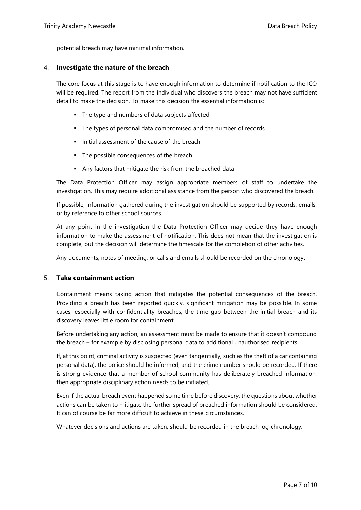potential breach may have minimal information.

#### <span id="page-6-0"></span>4. **Investigate the nature of the breach**

The core focus at this stage is to have enough information to determine if notification to the ICO will be required. The report from the individual who discovers the breach may not have sufficient detail to make the decision. To make this decision the essential information is:

- The type and numbers of data subjects affected
- The types of personal data compromised and the number of records
- Initial assessment of the cause of the breach
- The possible consequences of the breach
- Any factors that mitigate the risk from the breached data

The Data Protection Officer may assign appropriate members of staff to undertake the investigation. This may require additional assistance from the person who discovered the breach.

If possible, information gathered during the investigation should be supported by records, emails, or by reference to other school sources.

At any point in the investigation the Data Protection Officer may decide they have enough information to make the assessment of notification. This does not mean that the investigation is complete, but the decision will determine the timescale for the completion of other activities.

Any documents, notes of meeting, or calls and emails should be recorded on the chronology.

#### <span id="page-6-1"></span>5. **Take containment action**

Containment means taking action that mitigates the potential consequences of the breach. Providing a breach has been reported quickly, significant mitigation may be possible. In some cases, especially with confidentiality breaches, the time gap between the initial breach and its discovery leaves little room for containment.

Before undertaking any action, an assessment must be made to ensure that it doesn't compound the breach – for example by disclosing personal data to additional unauthorised recipients.

If, at this point, criminal activity is suspected (even tangentially, such as the theft of a car containing personal data), the police should be informed, and the crime number should be recorded. If there is strong evidence that a member of school community has deliberately breached information, then appropriate disciplinary action needs to be initiated.

Even if the actual breach event happened some time before discovery, the questions about whether actions can be taken to mitigate the further spread of breached information should be considered. It can of course be far more difficult to achieve in these circumstances.

Whatever decisions and actions are taken, should be recorded in the breach log chronology.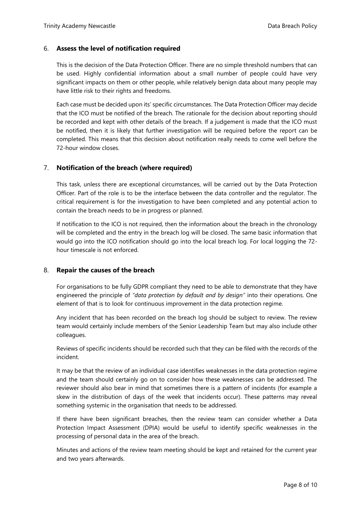## <span id="page-7-0"></span>6. **Assess the level of notification required**

This is the decision of the Data Protection Officer. There are no simple threshold numbers that can be used. Highly confidential information about a small number of people could have very significant impacts on them or other people, while relatively benign data about many people may have little risk to their rights and freedoms.

Each case must be decided upon its' specific circumstances. The Data Protection Officer may decide that the ICO must be notified of the breach. The rationale for the decision about reporting should be recorded and kept with other details of the breach. If a judgement is made that the ICO must be notified, then it is likely that further investigation will be required before the report can be completed. This means that this decision about notification really needs to come well before the 72-hour window closes.

## <span id="page-7-1"></span>7. **Notification of the breach (where required)**

This task, unless there are exceptional circumstances, will be carried out by the Data Protection Officer. Part of the role is to be the interface between the data controller and the regulator. The critical requirement is for the investigation to have been completed and any potential action to contain the breach needs to be in progress or planned.

If notification to the ICO is not required, then the information about the breach in the chronology will be completed and the entry in the breach log will be closed. The same basic information that would go into the ICO notification should go into the local breach log. For local logging the 72 hour timescale is not enforced.

## <span id="page-7-2"></span>8. **Repair the causes of the breach**

For organisations to be fully GDPR compliant they need to be able to demonstrate that they have engineered the principle of *"data protection by default and by design"* into their operations. One element of that is to look for continuous improvement in the data protection regime.

Any incident that has been recorded on the breach log should be subject to review. The review team would certainly include members of the Senior Leadership Team but may also include other colleagues.

Reviews of specific incidents should be recorded such that they can be filed with the records of the incident.

It may be that the review of an individual case identifies weaknesses in the data protection regime and the team should certainly go on to consider how these weaknesses can be addressed. The reviewer should also bear in mind that sometimes there is a pattern of incidents (for example a skew in the distribution of days of the week that incidents occur). These patterns may reveal something systemic in the organisation that needs to be addressed.

If there have been significant breaches, then the review team can consider whether a Data Protection Impact Assessment (DPIA) would be useful to identify specific weaknesses in the processing of personal data in the area of the breach.

Minutes and actions of the review team meeting should be kept and retained for the current year and two years afterwards.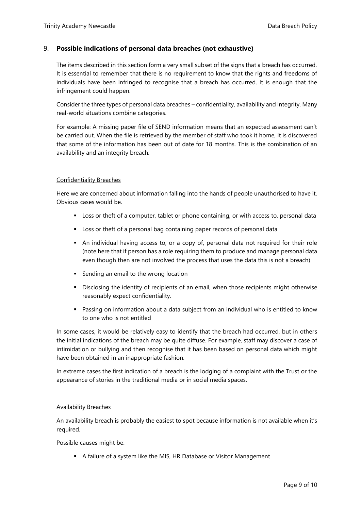## <span id="page-8-0"></span>9. **Possible indications of personal data breaches (not exhaustive)**

The items described in this section form a very small subset of the signs that a breach has occurred. It is essential to remember that there is no requirement to know that the rights and freedoms of individuals have been infringed to recognise that a breach has occurred. It is enough that the infringement could happen.

Consider the three types of personal data breaches – confidentiality, availability and integrity. Many real-world situations combine categories.

For example: A missing paper file of SEND information means that an expected assessment can't be carried out. When the file is retrieved by the member of staff who took it home, it is discovered that some of the information has been out of date for 18 months. This is the combination of an availability and an integrity breach.

#### Confidentiality Breaches

Here we are concerned about information falling into the hands of people unauthorised to have it. Obvious cases would be.

- Loss or theft of a computer, tablet or phone containing, or with access to, personal data
- Loss or theft of a personal bag containing paper records of personal data
- An individual having access to, or a copy of, personal data not required for their role (note here that if person has a role requiring them to produce and manage personal data even though then are not involved the process that uses the data this is not a breach)
- **Sending an email to the wrong location**
- Disclosing the identity of recipients of an email, when those recipients might otherwise reasonably expect confidentiality.
- Passing on information about a data subject from an individual who is entitled to know to one who is not entitled

In some cases, it would be relatively easy to identify that the breach had occurred, but in others the initial indications of the breach may be quite diffuse. For example, staff may discover a case of intimidation or bullying and then recognise that it has been based on personal data which might have been obtained in an inappropriate fashion.

In extreme cases the first indication of a breach is the lodging of a complaint with the Trust or the appearance of stories in the traditional media or in social media spaces.

#### Availability Breaches

An availability breach is probably the easiest to spot because information is not available when it's required.

Possible causes might be:

A failure of a system like the MIS, HR Database or Visitor Management